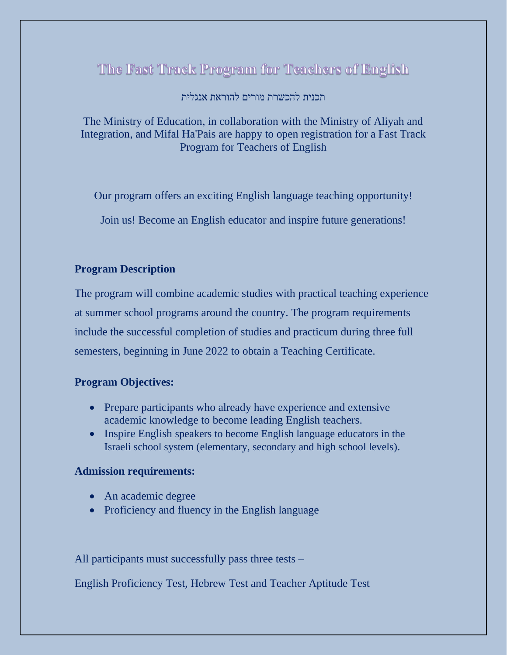# The Fast Track Program for Teachers of English

תכנית להכשרת מורים להוראת אנגלית

The Ministry of Education, in collaboration with the Ministry of Aliyah and Integration, and Mifal Ha'Pais are happy to open registration for a Fast Track Program for Teachers of English

Our program offers an exciting English language teaching opportunity!

Join us! Become an English educator and inspire future generations!

### **Program Description**

The program will combine academic studies with practical teaching experience at summer school programs around the country. The program requirements include the successful completion of studies and practicum during three full semesters, beginning in June 2022 to obtain a Teaching Certificate.

# **Program Objectives:**

- Prepare participants who already have experience and extensive academic knowledge to become leading English teachers.
- Inspire English speakers to become English language educators in the Israeli school system (elementary, secondary and high school levels).

#### **Admission requirements:**

- An academic degree
- Proficiency and fluency in the English language

All participants must successfully pass three tests –

English Proficiency Test, Hebrew Test and Teacher Aptitude Test